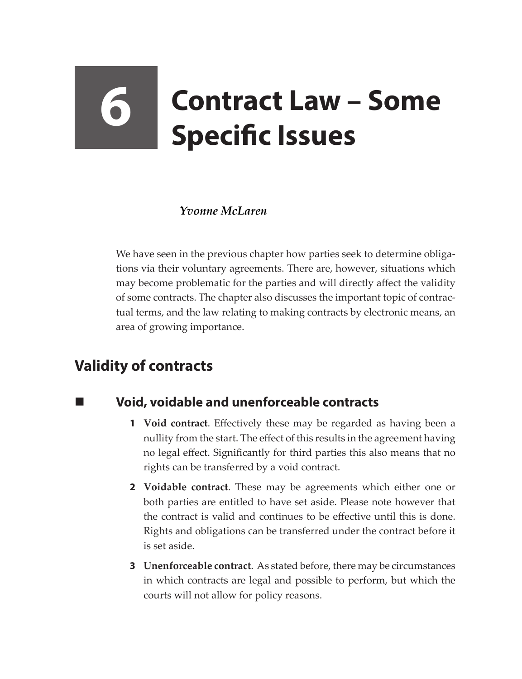# **6 Contract Law – Some Specific Issues**

## *Yvonne McLaren*

We have seen in the previous chapter how parties seek to determine obligations via their voluntary agreements. There are, however, situations which may become problematic for the parties and will directly affect the validity of some contracts. The chapter also discusses the important topic of contractual terms, and the law relating to making contracts by electronic means, an area of growing importance.

# **Validity of contracts**

# **Void, voidable and unenforceable contracts**

- **1 Void contract**. Effectively these may be regarded as having been a nullity from the start. The effect of this results in the agreement having no legal effect. Significantly for third parties this also means that no rights can be transferred by a void contract.
- **2 Voidable contract**. These may be agreements which either one or both parties are entitled to have set aside. Please note however that the contract is valid and continues to be effective until this is done. Rights and obligations can be transferred under the contract before it is set aside.
- **3 Unenforceable contract**. As stated before, there may be circumstances in which contracts are legal and possible to perform, but which the courts will not allow for policy reasons.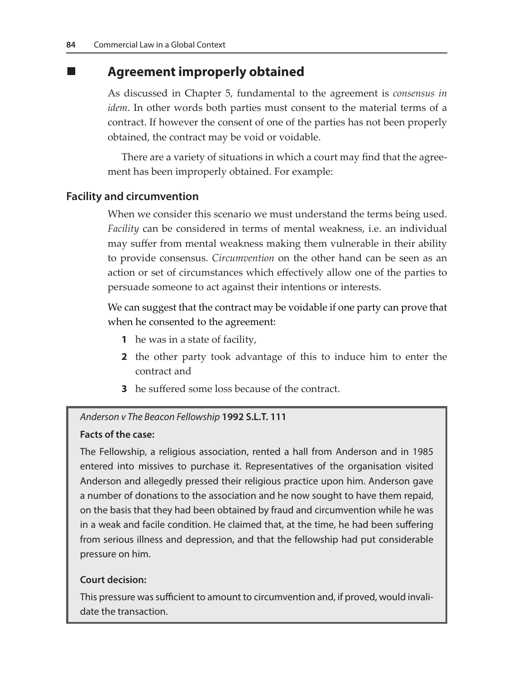# **Agreement improperly obtained**

As discussed in Chapter 5, fundamental to the agreement is *consensus in idem*. In other words both parties must consent to the material terms of a contract. If however the consent of one of the parties has not been properly obtained, the contract may be void or voidable.

There are a variety of situations in which a court may find that the agreement has been improperly obtained. For example:

### **Facility and circumvention**

When we consider this scenario we must understand the terms being used. *Facility* can be considered in terms of mental weakness, i.e. an individual may suffer from mental weakness making them vulnerable in their ability to provide consensus. *Circumvention* on the other hand can be seen as an action or set of circumstances which effectively allow one of the parties to persuade someone to act against their intentions or interests.

We can suggest that the contract may be voidable if one party can prove that when he consented to the agreement:

- **1** he was in a state of facility,
- **2** the other party took advantage of this to induce him to enter the contract and
- **3** he suffered some loss because of the contract.

#### *Anderson v The Beacon Fellowship* **1992 S.L.T. 111**

#### **Facts of the case:**

The Fellowship, a religious association, rented a hall from Anderson and in 1985 entered into missives to purchase it. Representatives of the organisation visited Anderson and allegedly pressed their religious practice upon him. Anderson gave a number of donations to the association and he now sought to have them repaid, on the basis that they had been obtained by fraud and circumvention while he was in a weak and facile condition. He claimed that, at the time, he had been suffering from serious illness and depression, and that the fellowship had put considerable pressure on him.

#### **Court decision:**

This pressure was sufficient to amount to circumvention and, if proved, would invalidate the transaction.